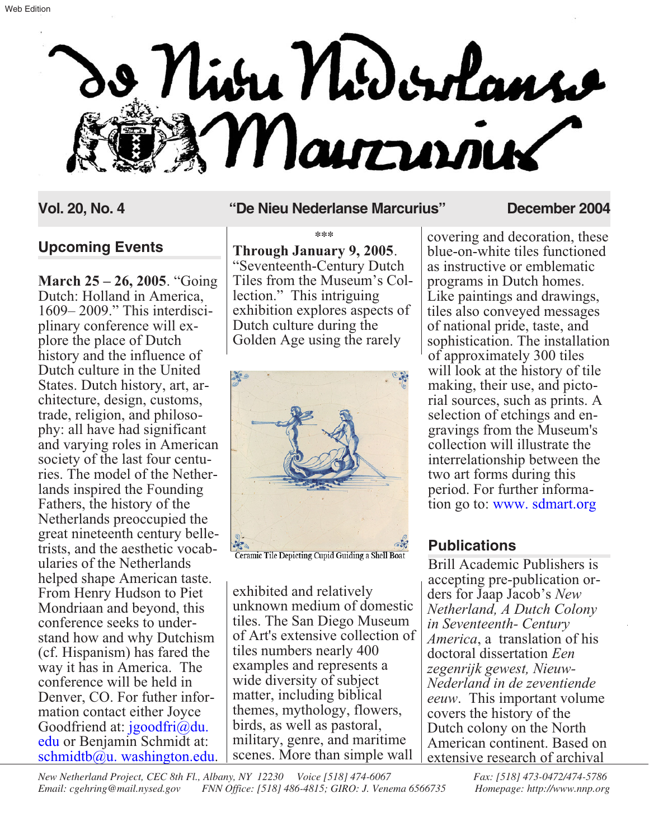

## **Upcoming Events**

**March 25 – 26, 2005**. "Going Dutch: Holland in America,<br>1609–2009." This interdisciplinary conference will explore the place of Dutch history and the influence of Dutch culture in the United States. Dutch history, art, architecture, design, customs, trade, religion, and philosophy: all have had significant and varying roles in American society of the last four centuries. The model of the Netherlands inspired the Founding Fathers, the history of the Netherlands preoccupied the great nineteenth century belletrists, and the aesthetic vocabularies of the Netherlands helped shape American taste. From Henry Hudson to Piet Mondriaan and beyond, this conference seeks to understand how and why Dutchism (cf. Hispanism) has fared the way it has in America. The conference will be held in Denver, CO. For futher information contact either Joyce Goodfriend at: jgoodfri@du. edu [or Benjamin Schmidt at:](mailto:jgoodfri@du.edu)  $schmidtb@u. washington.edu.$ 

#### **Vol. 20, No. 4 "De Nieu Nederlanse Marcurius" December 2004**

**\*\*\* Through January 9, 2005**. "Seventeenth-Century Dutch lection." This intriguing exhibition explores aspects of Dutch culture during the Golden Age using the rarely



Ceramic Tile Depicting Cupid Guiding a Shell Boat

exhibited and relatively unknown medium of domestic tiles. The San Diego Museum of Art's extensive collection of tiles numbers nearly 400 examples and represents a wide diversity of subject matter, including biblical themes, mythology, flowers, birds, as well as pastoral, military, genre, and maritime scenes. More than simple wall

covering and decoration, these blue-on-white tiles functioned as instructive or emblematic programs in Dutch homes. Like paintings and drawings, tiles also conveyed messages of national pride, taste, and sophistication. The installation of approximately 300 tiles will look at the history of tile making, their use, and pictorial sources, such as prints. A selection of etchings and engravings from the Museum's collection will illustrate the interrelationship between the two art forms during this period. For further information go to: [www. sdmart.org](http://www.sdmart.com)

## **Publications**

Brill Academic Publishers is accepting pre-publication orders for Jaap Jacob's *New Netherland, A Dutch Colony in Seventeenth- Century America*, a translation of his doctoral dissertation *Een zegenrijk gewest, Nieuw-Nederland in de zeventiende eeuw*. This important volume covers the history of the Dutch colony on the North American continent. Based on extensive research of archival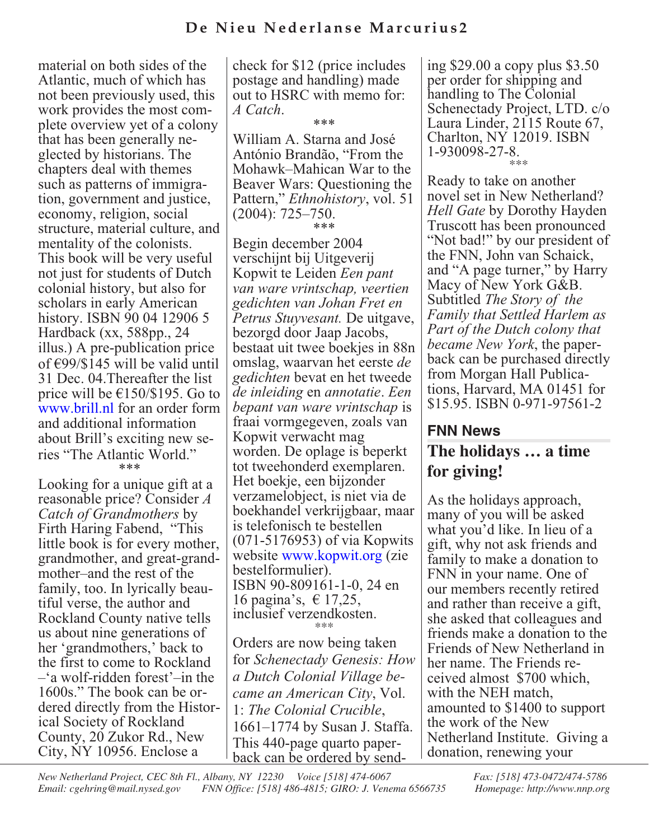material on both sides of the Atlantic, much of which has not been previously used, this work provides the most com- plete overview yet of a colony that has been generally ne- glected by historians. The chapters deal with themes such as patterns of immigra- tion, government and justice, economy, religion, social structure, material culture, and mentality of the colonists. This book will be very useful not just for students of Dutch colonial history, but also for scholars in early American history. ISBN 90 04 12906 5 Hardback (xx, 588pp., 24 illus.) A pre-publication price of €99/\$145 will be valid until 31 Dec. 04.Thereafter the list price will be  $\epsilon$ 150/\$195. Go to [www.brill.nl](http://www.brill.nl) for an order form and additional information about Brill's exciting new series "The Atlantic World." \*\*\*

Looking for a unique gift at a reasonable price? Consider *A Catch of Grandmothers* by Firth Haring Fabend, "This little book is for every mother, grandmother, and great-grandmother–and the rest of the family, too. In lyrically beautiful verse, the author and Rockland County native tells us about nine generations of her 'grandmothers,' back to the first to come to Rockland –'a wolf-ridden forest'–in the 1600s." The book can be ordered directly from the Historical Society of Rockland County, 20 Zukor Rd., New City, NY 10956. Enclose a

check for \$12 (price includes postage and handling) made out to HSRC with memo for: *A Catch*.

\*\*\*

William A. Starna and José António Brandão, "From the Mohawk–Mahican War to the Beaver Wars: Questioning the Pattern," *Ethnohistory*, vol. 51 (2004): 725–750. \*\*\*

Begin december 2004 verschijnt bij Uitgeverij Kopwit te Leiden *Een pant van ware vrintschap, veertien gedichten van Johan Fret en Petrus Stuyvesant.* De uitgave, bezorgd door Jaap Jacobs, bestaat uit twee boekjes in 88n omslag, waarvan het eerste *de gedichten* bevat en het tweede *de inleiding* en *annotatie*. *Een bepant van ware vrintschap* is fraai vormgegeven, zoals van Kopwit verwacht mag worden. De oplage is beperkt tot tweehonderd exemplaren. Het boekje, een bijzonder verzamelobject, is niet via de boekhandel verkrijgbaar, maar is telefonisch te bestellen (071-5176953) of via Kopwits website [www.kopwit.org](http://www.kopwit.org) (zie bestelformulier). ISBN 90-809161-1-0, 24 en 16 pagina's,  $\in$  17,25, inclusief verzendkosten. \*\*\*

Orders are now being taken for *Schenectady Genesis: How a Dutch Colonial Village became an American City*, Vol. 1: *The Colonial Crucible*, 1661–1774 by Susan J. Staffa. This 440-page quarto paper- back can be ordered by sending \$29.00 a copy plus \$3.50 per order for shipping and handling to The Colonial Schenectady Project, LTD. c/o Laura Linder, 2115 Route 67, Charlton, NY 12019. ISBN 1-930098-27-8. \*\*\*

Ready to take on another novel set in New Netherland? *Hell Gate* by Dorothy Hayden Truscott has been pronounced "Not bad!" by our president of the FNN, John van Schaick, and "A page turner," by Harry Macy of New York G&B. Subtitled *The Story of the Family that Settled Harlem as Part of the Dutch colony that became New York*, the paperback can be purchased directly from Morgan Hall Publications, Harvard, MA 01451 for \$15.95. ISBN 0-971-97561-2

# **FNN News The holidays … a time for giving!**

As the holidays approach, many of you will be asked what you'd like. In lieu of a gift, why not ask friends and family to make a donation to FNN in your name. One of our members recently retired and rather than receive a gift, she asked that colleagues and friends make a donation to the Friends of New Netherland in her name. The Friends received almost \$700 which, with the NEH match, amounted to \$1400 to support the work of the New Netherland Institute. Giving a donation, renewing your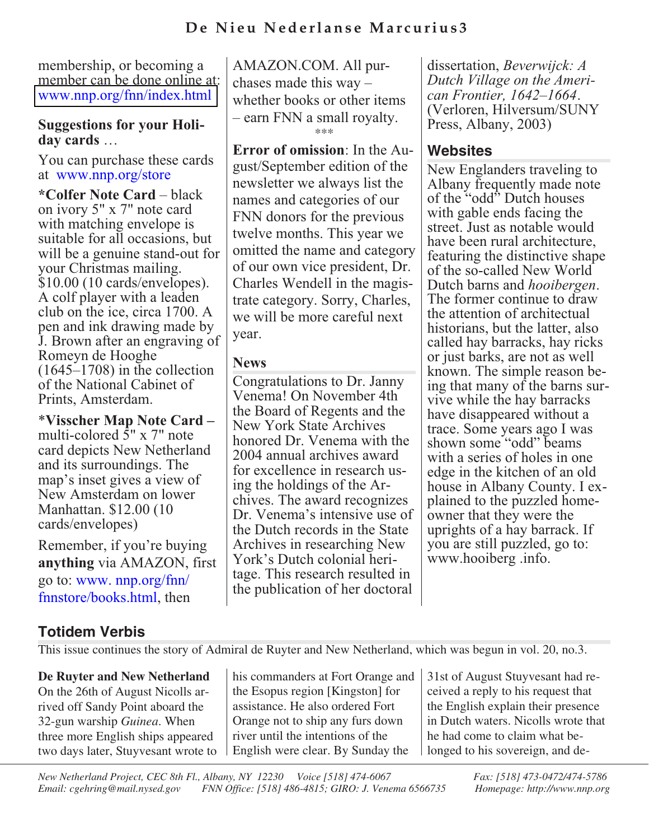# **De Nieu Nederlanse Marcurius3**

membership, or becoming a member can be done online at: [www.nnp.org/fnn/index.html](http://www.nnp.org/fnn/index.html)

#### **Suggestions for your Holiday cards** …

You can purchase these cards at [www.nnp.org/store](http://www.nnp.org/store)

**\*Colfer Note Card** – black on ivory 5" x 7" note card with matching envelope is suitable for all occasions, but will be a genuine stand-out for your Christmas mailing. \$10.00 (10 cards/envelopes). A colf player with a leaden club on the ice, circa 1700. A pen and ink drawing made by J. Brown after an engraving of Romeyn de Hooghe (1645–1708) in the collection of the National Cabinet of Prints, Amsterdam.

\***Visscher Map Note Card –** multi-colored 5" x 7" note card depicts New Netherland and its surroundings. The map's inset gives a view of New Amsterdam on lower Manhattan. \$12.00 (10 cards/envelopes)

Remember, if you're buying **anything** via AMAZON, first go to: www. nnp.org/fnn/ [fnnstore/books.html, then](http://www.nnp.org/fnn/fnnstore/books.html)

AMAZON.COM. All purchases made this way – whether books or other items – earn FNN a small royalty. \*\*\*

**Error of omission**: In the August/September edition of the newsletter we always list the names and categories of our FNN donors for the previous twelve months. This year we omitted the name and category of our own vice president, Dr. Charles Wendell in the magistrate category. Sorry, Charles, we will be more careful next year.

## **News**

Congratulations to Dr. Janny Venema! On November 4th the Board of Regents and the New York State Archives honored Dr. Venema with the 2004 annual archives award for excellence in research using the holdings of the Archives. The award recognizes Dr. Venema's intensive use of the Dutch records in the State Archives in researching New York's Dutch colonial heritage. This research resulted in the publication of her doctoral

dissertation, *Beverwijck: A Dutch Village on the Ameri- can Frontier, 1642–1664*. (Verloren, Hilversum/SUNY Press, Albany, 2003)

## **Websites**

New Englanders traveling to Albany frequently made note of the "odd" Dutch houses with gable ends facing the street. Just as notable would have been rural architecture, featuring the distinctive shape of the so-called New World Dutch barns and *hooibergen*. The former continue to draw the attention of architectual historians, but the latter, also called hay barracks, hay ricks or just barks, are not as well known. The simple reason being that many of the barns survive while the hay barracks have disappeared without a trace. Some years ago I was shown some "odd" beams with a series of holes in one edge in the kitchen of an old house in Albany County. I explained to the puzzled homeowner that they were the uprights of a hay barrack. If you are still puzzled, go to: www.hooiberg .info.

# **Totidem Verbis**

This issue continues the story of Admiral de Ruyter and New Netherland, which was begun in vol. 20, no.3.

## **De Ruyter and New Netherland**

On the 26th of August Nicolls arrived off Sandy Point aboard the 32-gun warship *Guinea*. When three more English ships appeared two days later, Stuyvesant wrote to his commanders at Fort Orange and the Esopus region [Kingston] for assistance. He also ordered Fort Orange not to ship any furs down river until the intentions of the English were clear. By Sunday the

31st of August Stuyvesant had received a reply to his request that the English explain their presence in Dutch waters. Nicolls wrote that he had come to claim what belonged to his sovereign, and de-